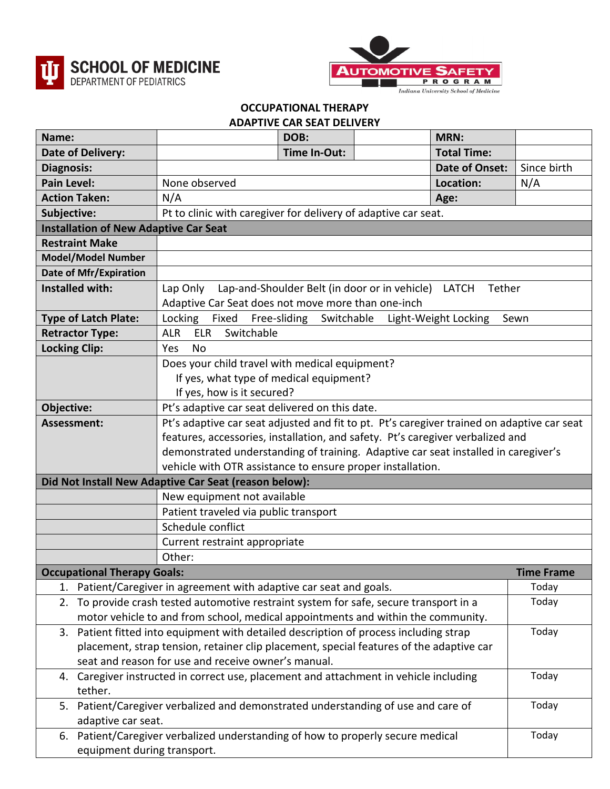



## **OCCUPATIONAL THERAPY ADAPTIVE CAR SEAT DELIVERY**

| Name:                                                                                                                                           |                                                                                  |                                                                                                                                                                                                                                                                                                                                  | DOB:         |  | <b>MRN:</b>           |                   |  |
|-------------------------------------------------------------------------------------------------------------------------------------------------|----------------------------------------------------------------------------------|----------------------------------------------------------------------------------------------------------------------------------------------------------------------------------------------------------------------------------------------------------------------------------------------------------------------------------|--------------|--|-----------------------|-------------------|--|
|                                                                                                                                                 | <b>Date of Delivery:</b>                                                         |                                                                                                                                                                                                                                                                                                                                  | Time In-Out: |  | <b>Total Time:</b>    |                   |  |
| Diagnosis:                                                                                                                                      |                                                                                  |                                                                                                                                                                                                                                                                                                                                  |              |  | <b>Date of Onset:</b> | Since birth       |  |
| <b>Pain Level:</b>                                                                                                                              |                                                                                  | None observed                                                                                                                                                                                                                                                                                                                    |              |  | Location:             | N/A               |  |
|                                                                                                                                                 | <b>Action Taken:</b>                                                             | N/A                                                                                                                                                                                                                                                                                                                              |              |  | Age:                  |                   |  |
| Subjective:                                                                                                                                     |                                                                                  | Pt to clinic with caregiver for delivery of adaptive car seat.                                                                                                                                                                                                                                                                   |              |  |                       |                   |  |
|                                                                                                                                                 | <b>Installation of New Adaptive Car Seat</b>                                     |                                                                                                                                                                                                                                                                                                                                  |              |  |                       |                   |  |
|                                                                                                                                                 | <b>Restraint Make</b>                                                            |                                                                                                                                                                                                                                                                                                                                  |              |  |                       |                   |  |
| <b>Model/Model Number</b>                                                                                                                       |                                                                                  |                                                                                                                                                                                                                                                                                                                                  |              |  |                       |                   |  |
| Date of Mfr/Expiration                                                                                                                          |                                                                                  |                                                                                                                                                                                                                                                                                                                                  |              |  |                       |                   |  |
| <b>Installed with:</b><br>Lap-and-Shoulder Belt (in door or in vehicle) LATCH<br>Lap Only<br>Adaptive Car Seat does not move more than one-inch |                                                                                  |                                                                                                                                                                                                                                                                                                                                  |              |  | Tether                |                   |  |
| <b>Type of Latch Plate:</b>                                                                                                                     |                                                                                  | Fixed Free-sliding Switchable<br>Locking<br>Light-Weight Locking<br>Sewn                                                                                                                                                                                                                                                         |              |  |                       |                   |  |
| <b>Retractor Type:</b>                                                                                                                          |                                                                                  | <b>ELR</b><br>Switchable<br><b>ALR</b>                                                                                                                                                                                                                                                                                           |              |  |                       |                   |  |
| <b>Locking Clip:</b>                                                                                                                            |                                                                                  | Yes<br><b>No</b>                                                                                                                                                                                                                                                                                                                 |              |  |                       |                   |  |
|                                                                                                                                                 |                                                                                  | Does your child travel with medical equipment?<br>If yes, what type of medical equipment?<br>If yes, how is it secured?                                                                                                                                                                                                          |              |  |                       |                   |  |
| Objective:                                                                                                                                      |                                                                                  | Pt's adaptive car seat delivered on this date.                                                                                                                                                                                                                                                                                   |              |  |                       |                   |  |
| Assessment:                                                                                                                                     |                                                                                  | Pt's adaptive car seat adjusted and fit to pt. Pt's caregiver trained on adaptive car seat<br>features, accessories, installation, and safety. Pt's caregiver verbalized and<br>demonstrated understanding of training. Adaptive car seat installed in caregiver's<br>vehicle with OTR assistance to ensure proper installation. |              |  |                       |                   |  |
| Did Not Install New Adaptive Car Seat (reason below):                                                                                           |                                                                                  |                                                                                                                                                                                                                                                                                                                                  |              |  |                       |                   |  |
|                                                                                                                                                 |                                                                                  | New equipment not available                                                                                                                                                                                                                                                                                                      |              |  |                       |                   |  |
|                                                                                                                                                 |                                                                                  | Patient traveled via public transport                                                                                                                                                                                                                                                                                            |              |  |                       |                   |  |
|                                                                                                                                                 |                                                                                  | Schedule conflict                                                                                                                                                                                                                                                                                                                |              |  |                       |                   |  |
|                                                                                                                                                 |                                                                                  | Current restraint appropriate                                                                                                                                                                                                                                                                                                    |              |  |                       |                   |  |
|                                                                                                                                                 |                                                                                  | Other:                                                                                                                                                                                                                                                                                                                           |              |  |                       |                   |  |
|                                                                                                                                                 | <b>Occupational Therapy Goals:</b>                                               |                                                                                                                                                                                                                                                                                                                                  |              |  |                       | <b>Time Frame</b> |  |
|                                                                                                                                                 |                                                                                  | 1. Patient/Caregiver in agreement with adaptive car seat and goals.                                                                                                                                                                                                                                                              |              |  |                       | Today             |  |
|                                                                                                                                                 |                                                                                  | 2. To provide crash tested automotive restraint system for safe, secure transport in a                                                                                                                                                                                                                                           |              |  |                       | Today             |  |
|                                                                                                                                                 | motor vehicle to and from school, medical appointments and within the community. |                                                                                                                                                                                                                                                                                                                                  |              |  |                       |                   |  |
|                                                                                                                                                 |                                                                                  | 3. Patient fitted into equipment with detailed description of process including strap                                                                                                                                                                                                                                            |              |  | Today                 |                   |  |
|                                                                                                                                                 |                                                                                  | placement, strap tension, retainer clip placement, special features of the adaptive car                                                                                                                                                                                                                                          |              |  |                       |                   |  |
|                                                                                                                                                 |                                                                                  | seat and reason for use and receive owner's manual.                                                                                                                                                                                                                                                                              |              |  |                       |                   |  |
|                                                                                                                                                 |                                                                                  | 4. Caregiver instructed in correct use, placement and attachment in vehicle including                                                                                                                                                                                                                                            |              |  |                       | Today             |  |
| tether.                                                                                                                                         |                                                                                  | 5. Patient/Caregiver verbalized and demonstrated understanding of use and care of                                                                                                                                                                                                                                                |              |  |                       |                   |  |
|                                                                                                                                                 | adaptive car seat.                                                               |                                                                                                                                                                                                                                                                                                                                  |              |  |                       | Today             |  |
|                                                                                                                                                 |                                                                                  | 6. Patient/Caregiver verbalized understanding of how to properly secure medical                                                                                                                                                                                                                                                  |              |  |                       | Today             |  |
|                                                                                                                                                 | equipment during transport.                                                      |                                                                                                                                                                                                                                                                                                                                  |              |  |                       |                   |  |